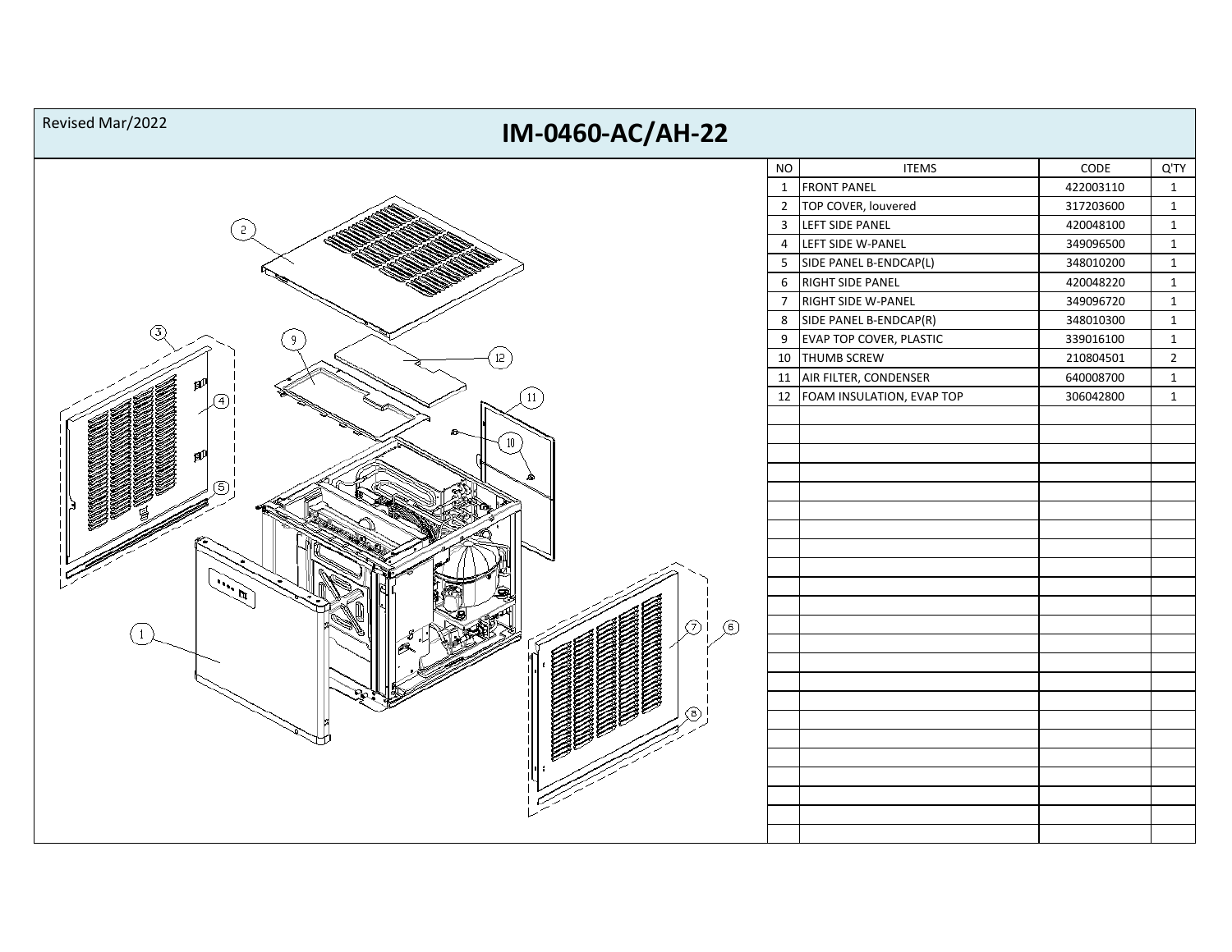| Revised Mar/2022<br>IM-0460-AC/AH-22 |                                       |           |                |
|--------------------------------------|---------------------------------------|-----------|----------------|
|                                      | <b>NO</b><br><b>ITEMS</b>             | CODE      | Q'TY           |
|                                      | $\mathbf{1}$<br><b>FRONT PANEL</b>    | 422003110 | $\mathbf{1}$   |
|                                      | $\overline{2}$<br>TOP COVER, louvered | 317203600 | $\mathbf 1$    |
|                                      | LEFT SIDE PANEL<br>$\mathbf{3}$       | 420048100 | $\mathbf{1}$   |
|                                      | LEFT SIDE W-PANEL<br>$\overline{4}$   | 349096500 | $\mathbf{1}$   |
|                                      | SIDE PANEL B-ENDCAP(L)<br>5           | 348010200 | $\mathbf 1$    |
|                                      | 6 RIGHT SIDE PANEL                    | 420048220 | $\mathbf{1}$   |
|                                      | RIGHT SIDE W-PANEL<br>$\overline{7}$  | 349096720 | $\mathbf{1}$   |
| Δ                                    | SIDE PANEL B-ENDCAP(R)<br>8           | 348010300 | $\mathbf 1$    |
|                                      | 9 EVAP TOP COVER, PLASTIC             | 339016100 | $\mathbf{1}$   |
|                                      | 10<br>THUMB SCREW                     | 210804501 | $\overline{2}$ |
|                                      | 11 AIR FILTER, CONDENSER              | 640008700 | $\mathbf{1}$   |
| 11<br>〔4〕                            | 12   FOAM INSULATION, EVAP TOP        | 306042800 | $\mathbf{1}$   |
|                                      |                                       |           |                |
|                                      |                                       |           |                |
|                                      |                                       |           |                |
|                                      |                                       |           |                |
|                                      |                                       |           |                |
|                                      |                                       |           |                |
|                                      |                                       |           |                |
|                                      |                                       |           |                |
|                                      |                                       |           |                |
|                                      |                                       |           |                |
|                                      |                                       |           |                |
| Θi<br>$\circledcirc$                 |                                       |           |                |
|                                      |                                       |           |                |
|                                      |                                       |           |                |
|                                      |                                       |           |                |
|                                      |                                       |           |                |
|                                      |                                       |           |                |
|                                      |                                       |           |                |
|                                      |                                       |           |                |
|                                      |                                       |           |                |
|                                      |                                       |           |                |
|                                      |                                       |           |                |
|                                      |                                       |           |                |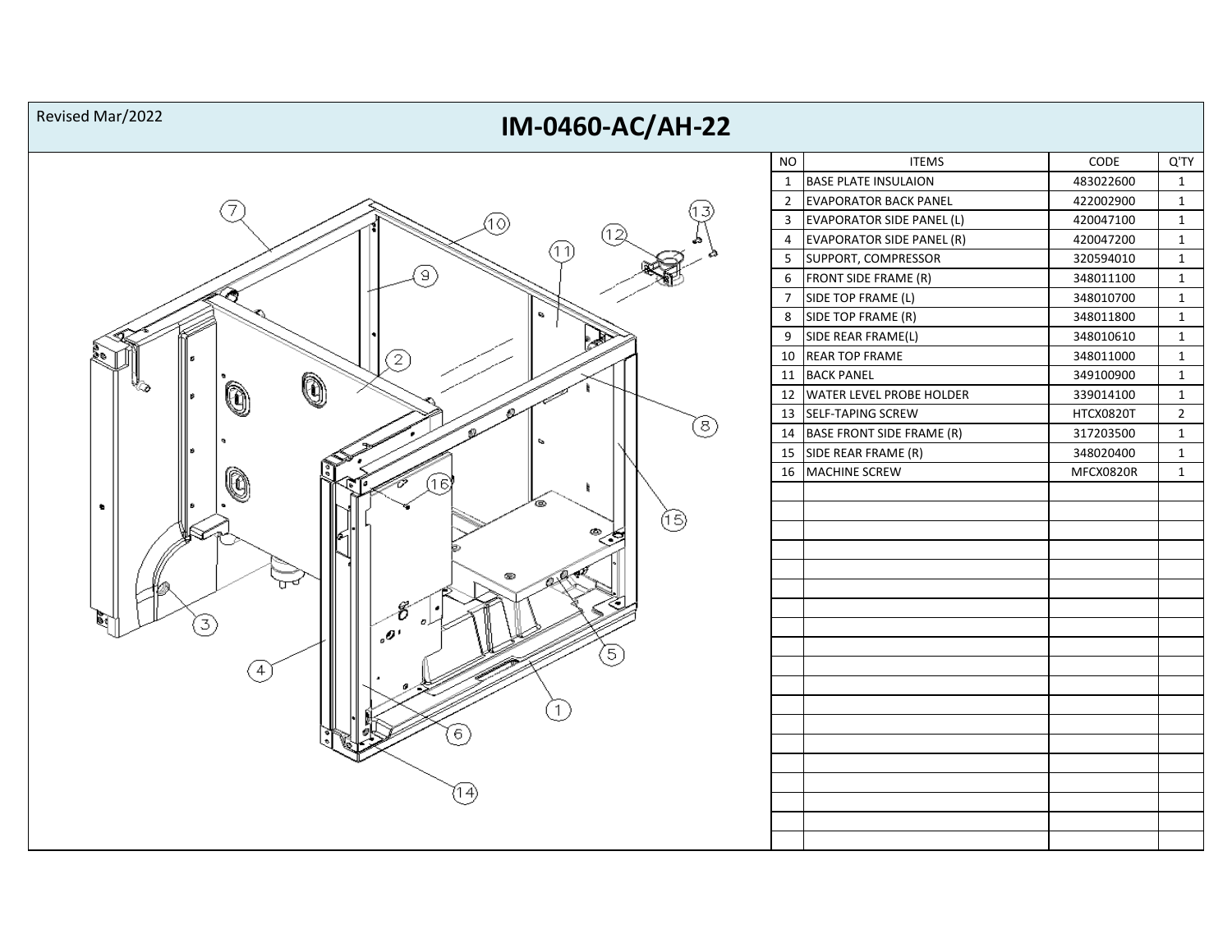## **IM-0460-AC/AH-22** Revised Mar/2022



| ΝO | <b>ITEMS</b>                     | CODE      | Q'TY         |
|----|----------------------------------|-----------|--------------|
| 1  | <b>BASE PLATE INSULAION</b>      | 483022600 | 1            |
| 2  | <b>EVAPORATOR BACK PANEL</b>     | 422002900 | 1            |
| 3  | <b>EVAPORATOR SIDE PANEL (L)</b> | 420047100 | 1            |
| 4  | <b>EVAPORATOR SIDE PANEL (R)</b> | 420047200 | 1            |
| 5  | SUPPORT, COMPRESSOR              | 320594010 | 1            |
| 6  | FRONT SIDE FRAME (R)             | 348011100 | $\mathbf{1}$ |
| 7  | SIDE TOP FRAME (L)               | 348010700 | 1            |
| 8  | SIDE TOP FRAME (R)               | 348011800 | 1            |
| 9  | SIDE REAR FRAME(L)               | 348010610 | 1            |
| 10 | <b>REAR TOP FRAME</b>            | 348011000 | 1            |
| 11 | <b>BACK PANEL</b>                | 349100900 | 1            |
| 12 | WATER LEVEL PROBE HOLDER         | 339014100 | 1            |
| 13 | SELF-TAPING SCREW                | HTCX0820T | 2            |
| 14 | <b>BASE FRONT SIDE FRAME (R)</b> | 317203500 | 1            |
| 15 | SIDE REAR FRAME (R)              | 348020400 | 1            |
| 16 | <b>MACHINE SCREW</b>             | MFCX0820R | 1            |
|    |                                  |           |              |
|    |                                  |           |              |
|    |                                  |           |              |
|    |                                  |           |              |
|    |                                  |           |              |
|    |                                  |           |              |
|    |                                  |           |              |
|    |                                  |           |              |
|    |                                  |           |              |
|    |                                  |           |              |
|    |                                  |           |              |
|    |                                  |           |              |
|    |                                  |           |              |
|    |                                  |           |              |
|    |                                  |           |              |
|    |                                  |           |              |
|    |                                  |           |              |
|    |                                  |           |              |
|    |                                  |           |              |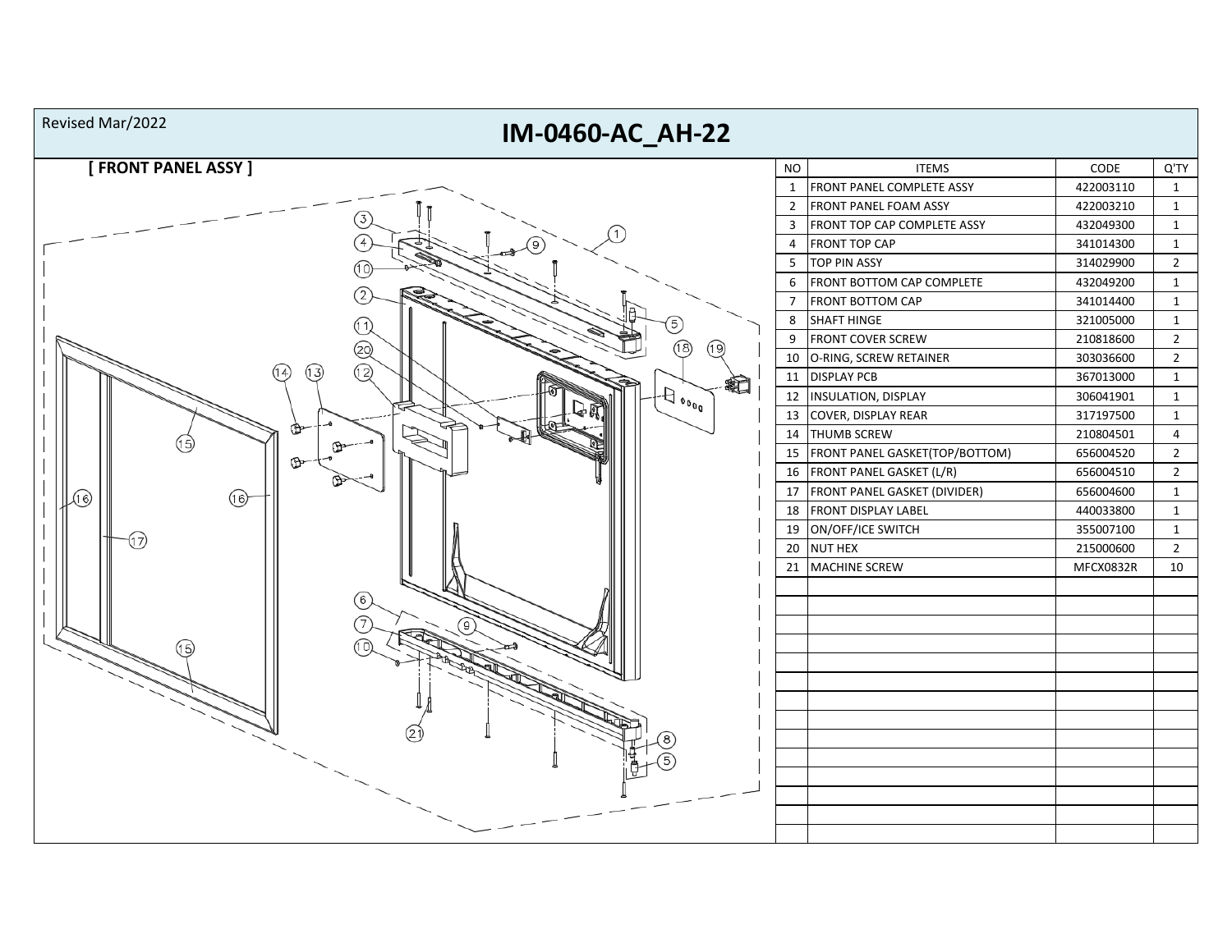| Revised Mar/2022<br>IM-0460-AC_AH-22                                 |                |                                     |           |                |
|----------------------------------------------------------------------|----------------|-------------------------------------|-----------|----------------|
| [ FRONT PANEL ASSY ]                                                 | <b>NO</b>      | <b>ITEMS</b>                        | CODE      | Q'TY           |
|                                                                      | $\mathbf{1}$   | FRONT PANEL COMPLETE ASSY           | 422003110 | $\mathbf{1}$   |
|                                                                      | $\overline{2}$ | <b>FRONT PANEL FOAM ASSY</b>        | 422003210 | $\mathbf{1}$   |
|                                                                      | 3              | FRONT TOP CAP COMPLETE ASSY         | 432049300 | $\mathbf{1}$   |
|                                                                      | $\overline{4}$ | <b>FRONT TOP CAP</b>                | 341014300 | $\mathbf{1}$   |
|                                                                      | 5              | <b>TOP PIN ASSY</b>                 | 314029900 | $\overline{2}$ |
|                                                                      | 6              | FRONT BOTTOM CAP COMPLETE           | 432049200 | 1              |
|                                                                      | $\overline{7}$ | <b>FRONT BOTTOM CAP</b>             | 341014400 | $\mathbf{1}$   |
|                                                                      | $\bf 8$        | <b>SHAFT HINGE</b>                  | 321005000 | $\mathbf{1}$   |
| டு)<br>18)                                                           | 9              | <b>FRONT COVER SCREW</b>            | 210818600 | $\overline{2}$ |
| 29                                                                   | 10             | O-RING, SCREW RETAINER              | 303036600 | $\overline{2}$ |
| (12)<br>(13)<br>14<br>辷                                              | 11             | <b>DISPLAY PCB</b>                  | 367013000 | $\mathbf{1}$   |
| $\leftarrow$ $\Theta$ $\Theta_{\mathbf{0}_{\mathbf{0}_{\mathbf{0}}}$ | 12             | <b>INSULATION, DISPLAY</b>          | 306041901 | $\mathbf{1}$   |
|                                                                      | 13             | COVER, DISPLAY REAR                 | 317197500 | $\mathbf{1}$   |
| (15)                                                                 | 14             | <b>THUMB SCREW</b>                  | 210804501 | $\overline{4}$ |
|                                                                      | 15             | FRONT PANEL GASKET(TOP/BOTTOM)      | 656004520 | $\overline{2}$ |
|                                                                      | 16             | FRONT PANEL GASKET (L/R)            | 656004510 | $\overline{2}$ |
| A<br>6                                                               | 17             | <b>FRONT PANEL GASKET (DIVIDER)</b> | 656004600 | $\mathbf{1}$   |
|                                                                      | 18             | <b>FRONT DISPLAY LABEL</b>          | 440033800 | $\mathbf{1}$   |
|                                                                      | 19             | ON/OFF/ICE SWITCH                   | 355007100 | $\mathbf{1}$   |
|                                                                      | 20             | <b>NUT HEX</b>                      | 215000600 | $\overline{2}$ |
|                                                                      | 21             | MACHINE SCREW                       | MFCX0832R | 10             |
|                                                                      |                |                                     |           |                |
| 6                                                                    |                |                                     |           |                |
|                                                                      |                |                                     |           |                |
| 15)                                                                  |                |                                     |           |                |
|                                                                      |                |                                     |           |                |
|                                                                      |                |                                     |           |                |
|                                                                      |                |                                     |           |                |
|                                                                      |                |                                     |           |                |
|                                                                      |                |                                     |           |                |
|                                                                      |                |                                     |           |                |
|                                                                      |                |                                     |           |                |
|                                                                      |                |                                     |           |                |
|                                                                      |                |                                     |           |                |
|                                                                      |                |                                     |           |                |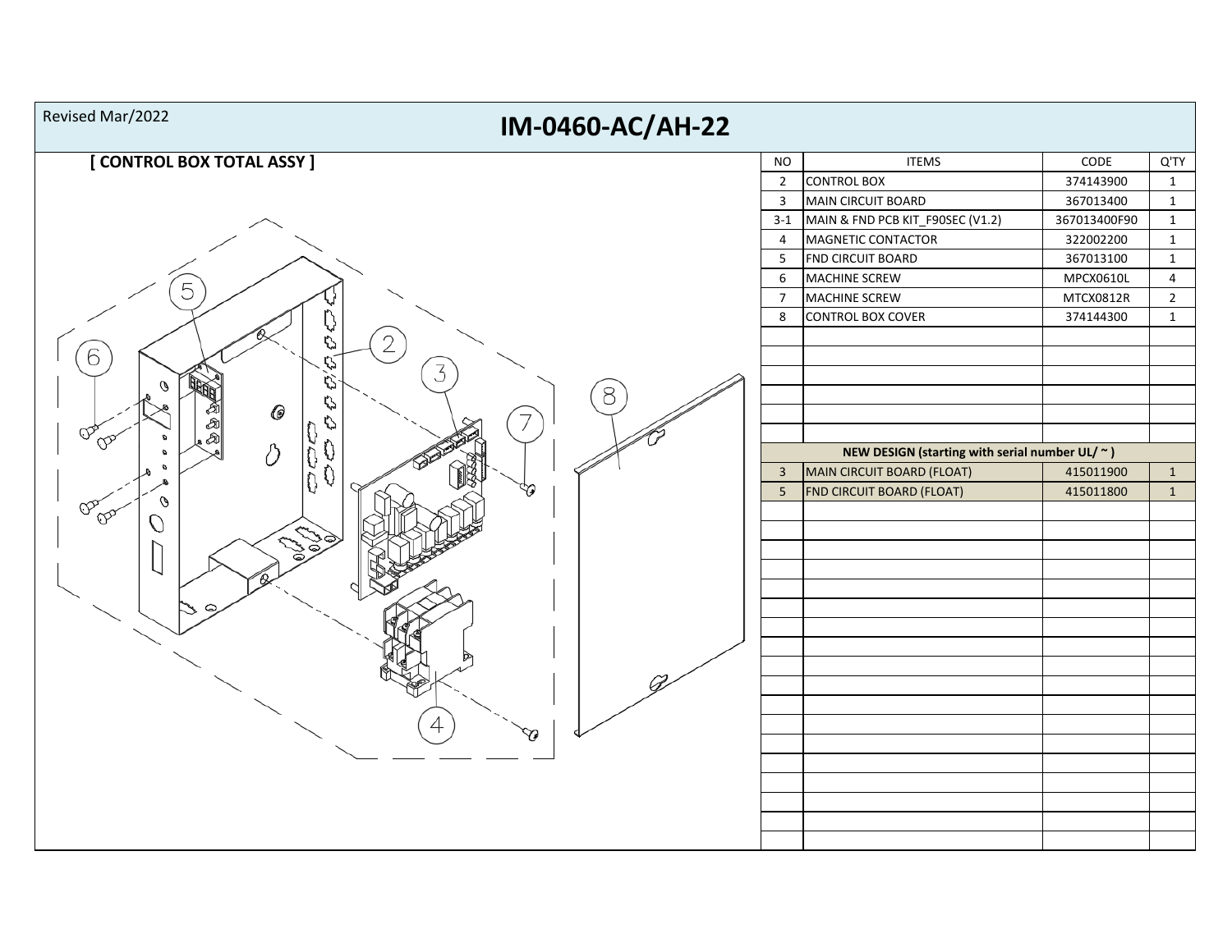| Revised Mar/2022<br>IM-0460-AC/AH-22      |                                |                                                                                                                        |                        |                              |
|-------------------------------------------|--------------------------------|------------------------------------------------------------------------------------------------------------------------|------------------------|------------------------------|
| [CONTROL BOX TOTAL ASSY ]                 | <b>NO</b>                      | <b>ITEMS</b>                                                                                                           | CODE                   | Q'TY                         |
|                                           | $\overline{2}$                 | <b>CONTROL BOX</b>                                                                                                     | 374143900              | $\mathbf{1}$                 |
|                                           | $\overline{3}$                 | MAIN CIRCUIT BOARD                                                                                                     | 367013400              | $\mathbf{1}$                 |
|                                           | $3 - 1$                        | MAIN & FND PCB KIT_F90SEC (V1.2)                                                                                       | 367013400F90           | $\mathbf{1}$                 |
|                                           | $\overline{4}$                 | MAGNETIC CONTACTOR                                                                                                     | 322002200              | $\mathbf{1}$                 |
|                                           | $5\overline{)}$                | FND CIRCUIT BOARD                                                                                                      | 367013100              | $\mathbf{1}$                 |
|                                           | 6                              | MACHINE SCREW                                                                                                          | MPCX0610L              | $\overline{4}$               |
| 5                                         | $\overline{7}$                 | MACHINE SCREW                                                                                                          | MTCX0812R              | $2^{\circ}$                  |
| V<br>Q<br>6<br>O<br>3<br>Q<br>O<br>8<br>0 | 8                              | <b>CONTROL BOX COVER</b>                                                                                               | 374144300              | $\mathbf{1}$                 |
| ↻<br>♡<br>$\sigma$<br>的<br>0<br>o         | $\mathbf{3}$<br>$\overline{5}$ | NEW DESIGN (starting with serial number UL/ $\sim$ )<br>MAIN CIRCUIT BOARD (FLOAT)<br><b>FND CIRCUIT BOARD (FLOAT)</b> | 415011900<br>415011800 | $\mathbf{1}$<br>$\mathbf{1}$ |
| ଙ<br>$\mathbb{Q}_{\mathcal{D}}$           |                                |                                                                                                                        |                        |                              |
|                                           |                                |                                                                                                                        |                        |                              |
|                                           |                                |                                                                                                                        |                        |                              |
|                                           |                                |                                                                                                                        |                        |                              |
|                                           |                                |                                                                                                                        |                        |                              |
|                                           |                                |                                                                                                                        |                        |                              |
| ₩                                         |                                |                                                                                                                        |                        |                              |
|                                           |                                |                                                                                                                        |                        |                              |
|                                           |                                |                                                                                                                        |                        |                              |
|                                           |                                |                                                                                                                        |                        |                              |
|                                           |                                |                                                                                                                        |                        |                              |
|                                           |                                |                                                                                                                        |                        |                              |
|                                           |                                |                                                                                                                        |                        |                              |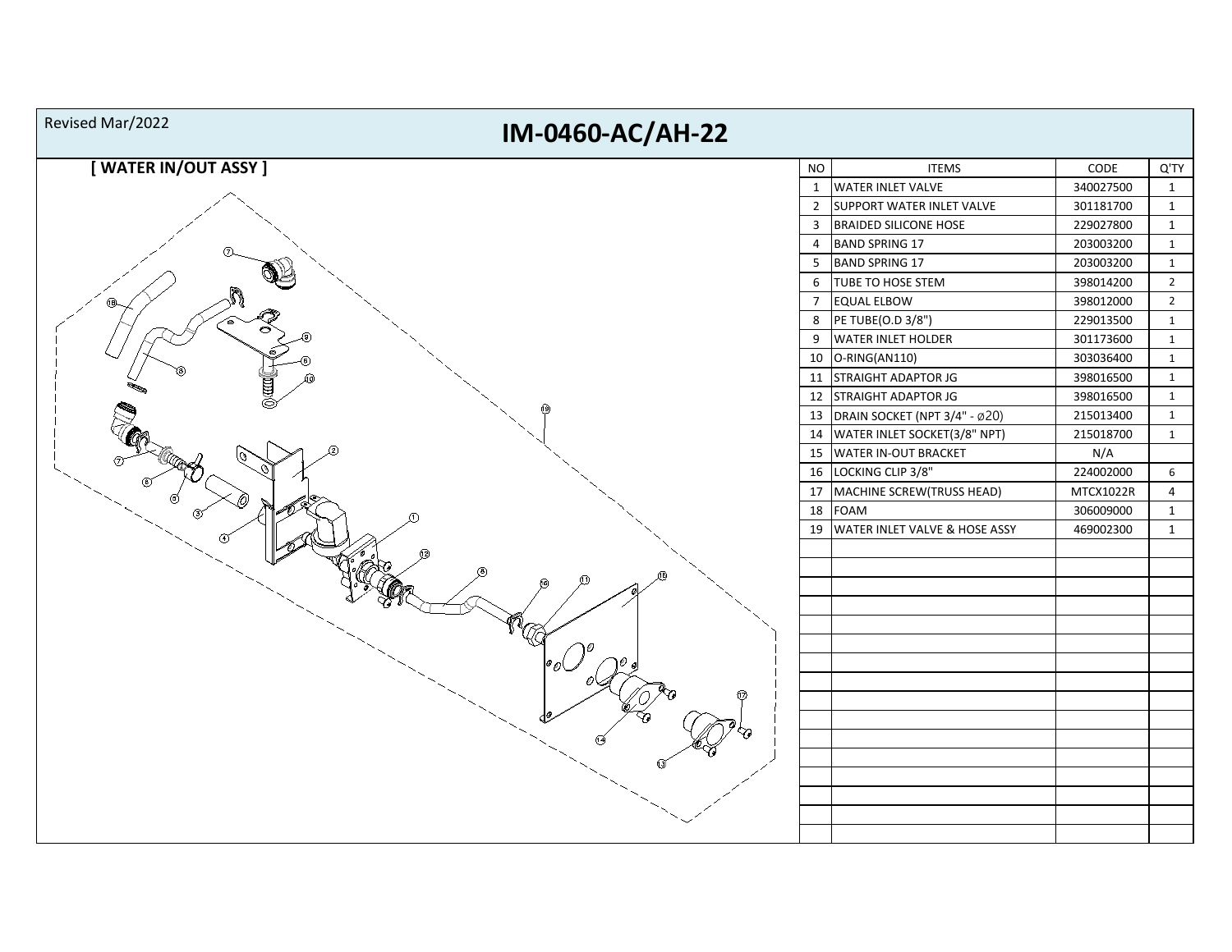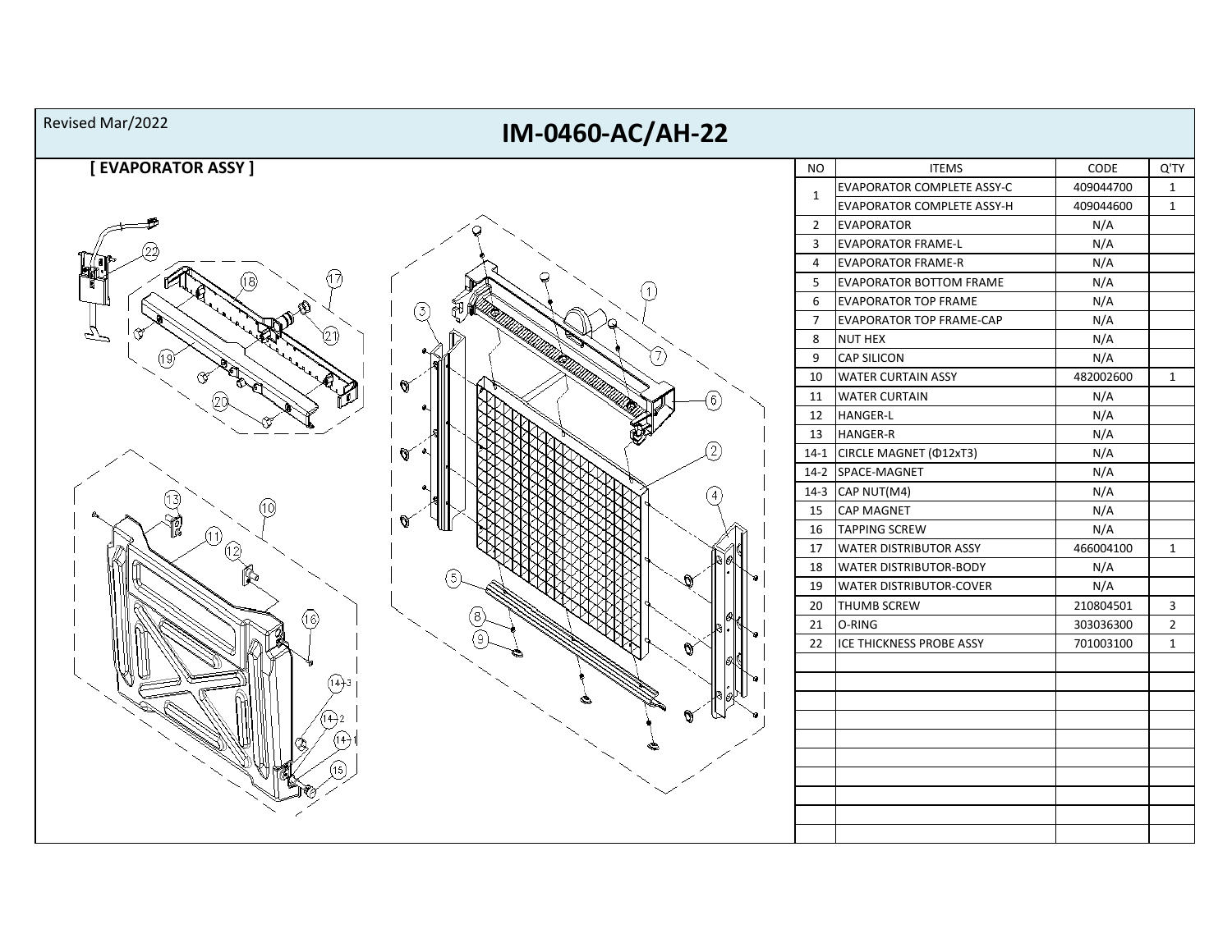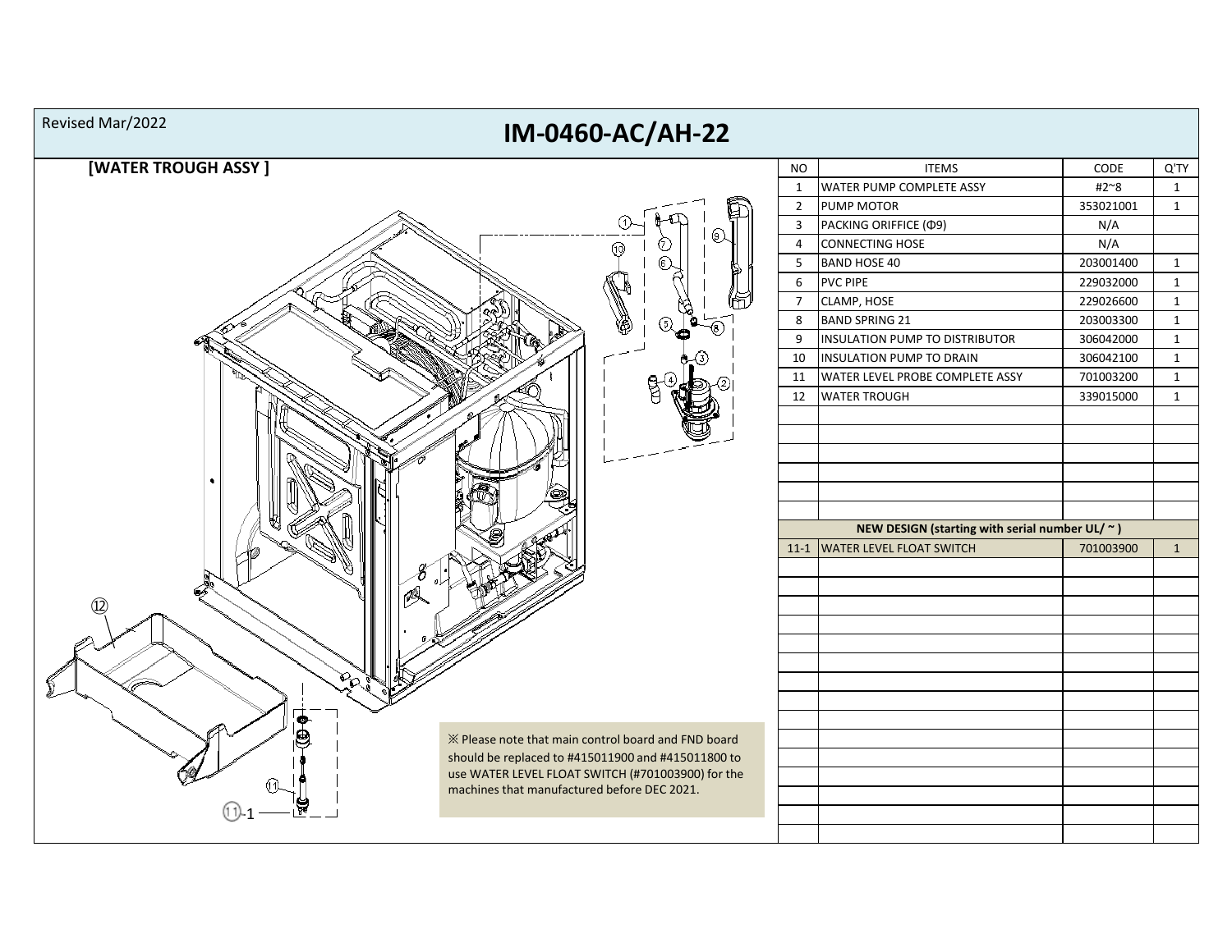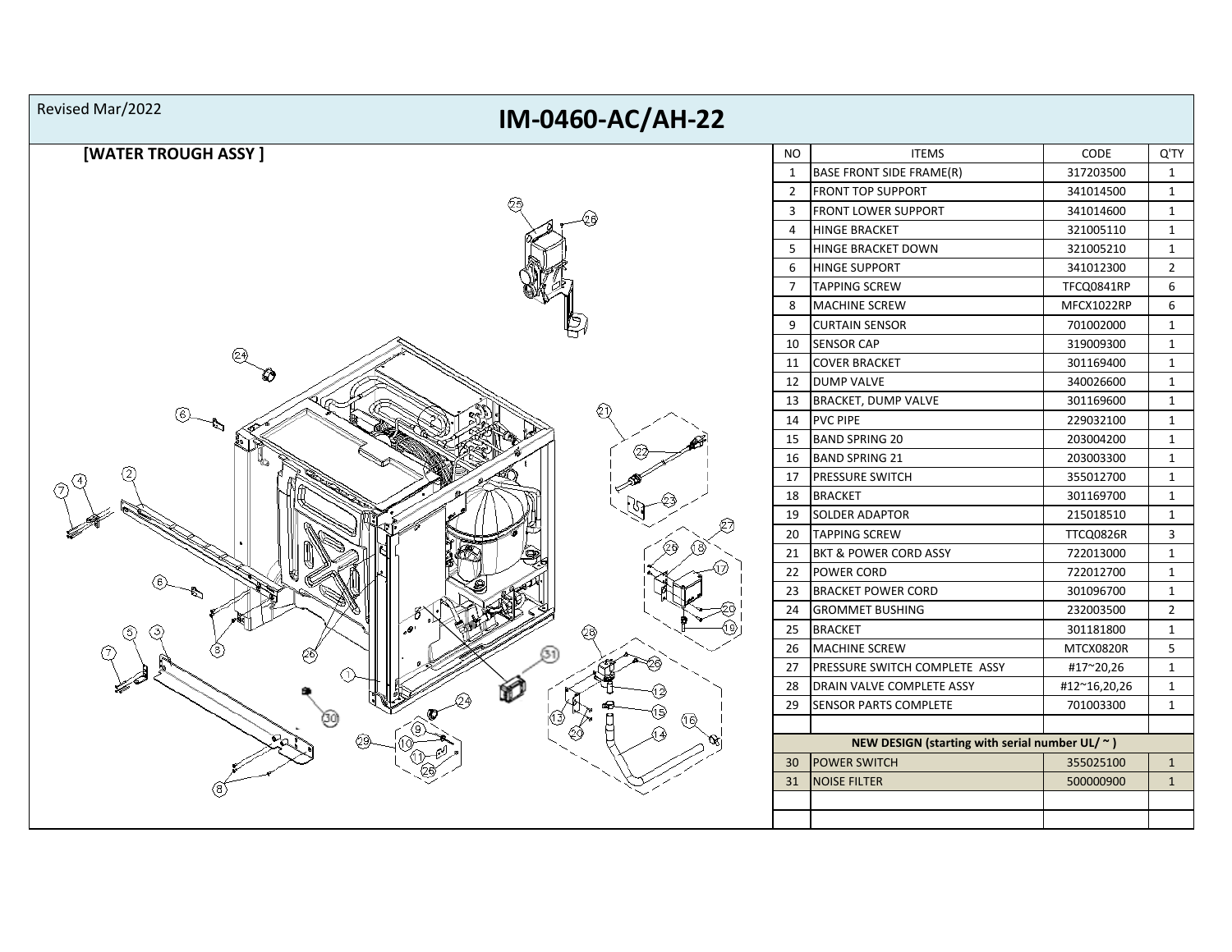